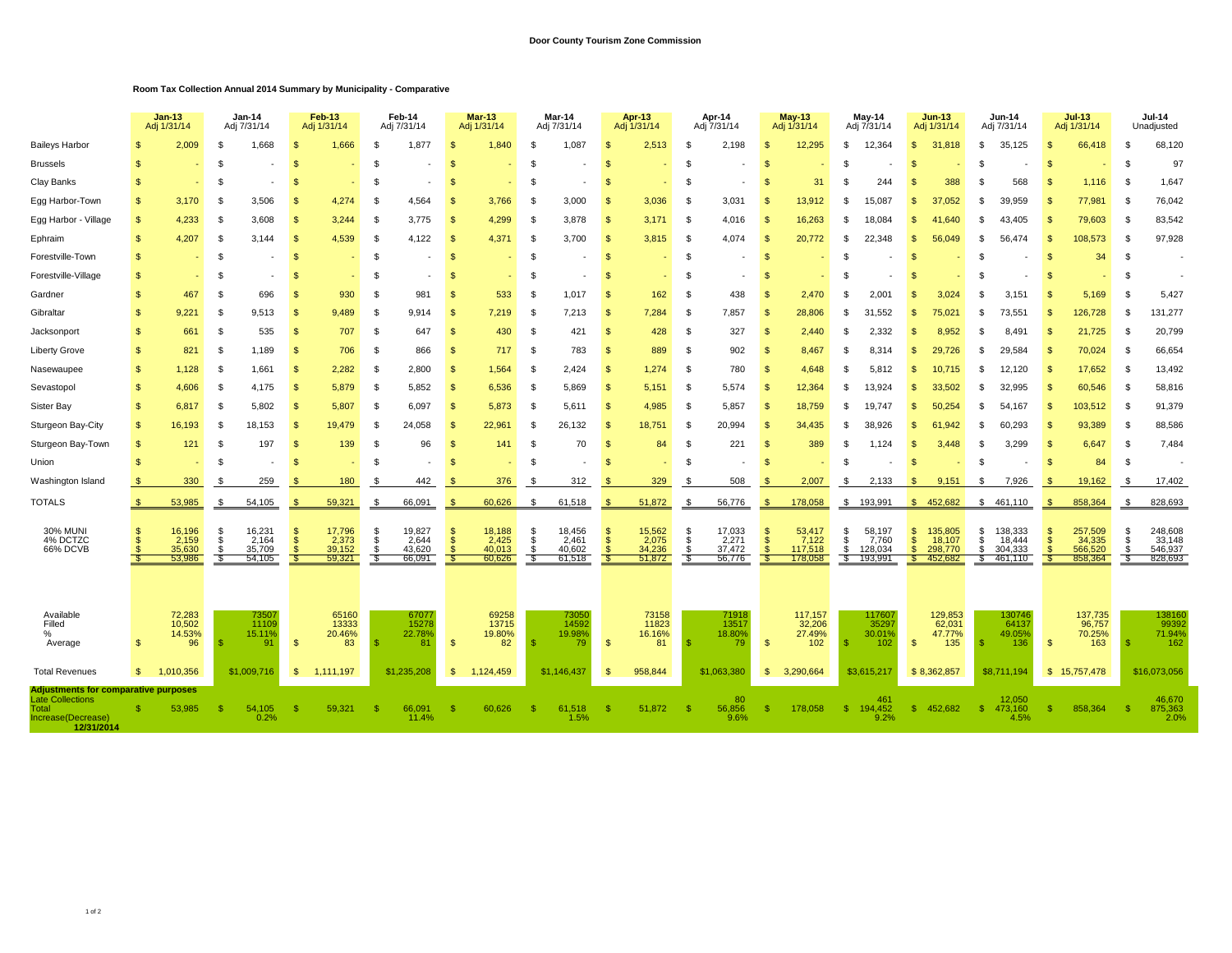## **Room Tax Collection Annual 2014 Summary by Municipality - Comparative**

|                                                                                                                     |                              | <b>Jan-13</b><br>Adj 1/31/14        | <b>Jan-14</b><br>Adj 7/31/14 |                                     | Feb-13<br>Adj 1/31/14              |                                     | Feb-14<br>Adj 7/31/14     |                                     | <b>Mar-13</b><br>Adj 1/31/14     |                                     | Mar-14<br>Adj 7/31/14    |                                     | <b>Apr-13</b><br>Adj 1/31/14     |                                     | Apr-14<br>Adj 7/31/14       |                                     |                                           | <b>May-13</b><br>Adj 1/31/14          | May-14<br>Adj 7/31/14          |                                       |                                           | $Jun-13$<br>Adj 1/31/14                 |                      | <b>Jun-14</b><br>Adj 7/31/14            |                    | $Jul-13$<br>Adj 1/31/14                 |                              | <b>Jul-14</b><br>Unadjusted             |  |
|---------------------------------------------------------------------------------------------------------------------|------------------------------|-------------------------------------|------------------------------|-------------------------------------|------------------------------------|-------------------------------------|---------------------------|-------------------------------------|----------------------------------|-------------------------------------|--------------------------|-------------------------------------|----------------------------------|-------------------------------------|-----------------------------|-------------------------------------|-------------------------------------------|---------------------------------------|--------------------------------|---------------------------------------|-------------------------------------------|-----------------------------------------|----------------------|-----------------------------------------|--------------------|-----------------------------------------|------------------------------|-----------------------------------------|--|
| <b>Baileys Harbor</b>                                                                                               |                              | 2,009                               |                              | 1,668                               | $\mathbf{s}$                       | 1,666                               |                           | 1,877                               | А                                | 1.840                               | £.                       | 1,087                               | S                                | 2,513                               | \$                          | 2,198                               | g                                         | 12,295                                | \$.                            | 12,364                                | $\mathfrak{L}$                            | 31,818                                  | -S                   | 35,125                                  | \$                 | 66,418                                  | $\mathcal{S}$                | 68,120                                  |  |
| <b>Brussels</b>                                                                                                     | <b>S</b>                     |                                     | - \$                         |                                     | $\mathbf{s}$                       |                                     |                           |                                     | S.                               |                                     | £.                       |                                     | ę.                               |                                     | \$.                         |                                     | $\mathbf{s}$                              |                                       | \$                             |                                       | \$                                        |                                         | s.                   |                                         | - \$               |                                         | - \$                         | 97                                      |  |
| Clay Banks                                                                                                          | <b>S</b>                     |                                     | -\$                          |                                     | -\$                                |                                     | - \$                      |                                     | S.                               |                                     | -9                       |                                     | -S                               |                                     | -\$                         |                                     | -\$                                       | 31                                    | \$                             | 244                                   | \$.                                       | 388                                     | .¢                   | 568                                     | - \$               | 1,116                                   | - \$                         | 1,647                                   |  |
| Egg Harbor-Town                                                                                                     | \$.                          | 3.170                               | - \$                         | 3.506                               | $\mathbf{\$}$                      | 4.274                               | . ድ                       | 4.564                               | $\mathcal{S}$                    | 3.766                               | - \$                     | 3.000                               | <b>S</b>                         | 3,036                               | - \$                        | 3.031                               | $\mathbf{s}$                              | 13.912                                | \$                             | 15.087                                | \$.                                       | 37.052                                  | \$.                  | 39.959                                  | - \$               | 77,981                                  | - \$                         | 76,042                                  |  |
| Egg Harbor - Village                                                                                                | $\mathbf{s}$                 | 4,233                               | - \$                         | 3.608                               | $\mathbf{\$}$                      | 3.244                               | - \$                      | 3.775                               | £.                               | 4,299                               | -9                       | 3.878                               | <b>S</b>                         | 3.171                               | - \$                        | 4.016                               | $\mathfrak{L}$                            | 16,263                                | \$                             | 18.084                                | Æ                                         | 41.640                                  | .¢                   | 43.405                                  | . Տ                | 79,603                                  | - \$                         | 83,542                                  |  |
| Ephraim                                                                                                             | $\mathbf{s}$                 | 4.207                               | - \$                         | 3.144                               | $\mathbf{s}$                       | 4,539                               | - \$                      | 4.122                               | $\mathcal{S}$                    | 4,371                               | - \$                     | 3.700                               | <b>S</b>                         | 3,815                               | - \$                        | 4.074                               | -\$                                       | 20,772                                | \$                             | 22.348                                | \$.                                       | 56,049                                  | \$.                  | 56.474                                  | - \$               | 108.573                                 | - \$                         | 97,928                                  |  |
| Forestville-Town                                                                                                    | $\mathbb{S}$                 |                                     | - \$                         |                                     | $\mathbf{s}$                       |                                     | - \$                      |                                     | -\$                              |                                     | - \$                     |                                     | S                                |                                     | -\$                         |                                     | <b>S</b>                                  |                                       | - \$                           |                                       | \$                                        |                                         | £                    |                                         | - \$               | 34                                      | - \$                         | $\overline{\phantom{a}}$                |  |
| Forestville-Village                                                                                                 | $\mathbb{S}$                 |                                     | -\$                          |                                     | $\mathbf{s}$                       |                                     | -\$                       |                                     | £.                               |                                     | \$                       |                                     | <b>S</b>                         |                                     | \$                          |                                     | <sup>\$</sup>                             |                                       | - \$                           |                                       | \$                                        |                                         | s.                   |                                         | - \$               |                                         | - \$                         |                                         |  |
| Gardner                                                                                                             | $\mathbf{s}$                 | 467                                 | - \$                         | 696                                 | <sup>\$</sup>                      | 930                                 |                           | 981                                 | Ń                                | 533                                 | £                        | 1,017                               | ş.                               | 162                                 | -S                          | 438                                 | <sup>9</sup>                              | 2,470                                 | \$                             | $2,00^{\circ}$                        | \$.                                       | 3,024                                   | s.                   | 3,151                                   |                    | 5,169                                   | - \$                         | 5,427                                   |  |
| Gibraltar                                                                                                           | $\mathbb{S}$                 | 9,221                               | - \$                         | 9,513                               | $\mathbf{s}$                       | 9,489                               | -\$                       | 9.914                               | £.                               | 7,219                               | -\$                      | 7,213                               | S                                | 7,284                               | -S                          | 7,857                               | <sup>\$</sup>                             | 28,806                                | \$                             | 31,552                                | \$.                                       | 75,021                                  | S.                   | 73,55'                                  | - \$               | 126,728                                 | - \$                         | 131,277                                 |  |
| Jacksonport                                                                                                         | $\mathbb{S}$                 | 661                                 | - \$                         | 535                                 | $\mathbf{s}$                       | 707                                 | -\$                       | 647                                 | -S                               | 430                                 | -\$                      | 421                                 | S                                | 428                                 | \$                          | 327                                 | <b>S</b>                                  | 2,440                                 | - \$                           | 2,332                                 | \$.                                       | 8,952                                   | -S                   | 8,491                                   | - \$               | 21,725                                  | - \$                         | 20,799                                  |  |
| <b>Liberty Grove</b>                                                                                                | $\mathbb{S}$                 | 821                                 | -\$                          | 1,189                               | $\mathbf{s}$                       | 706                                 | -S                        | 866                                 | $\mathfrak{F}$                   | 717                                 | \$                       | 783                                 | $\mathbf{s}$                     | 889                                 | \$                          | 902                                 | <b>S</b>                                  | 8,467                                 | \$                             | 8.314                                 | -\$                                       | 29.726                                  | -S                   | 29,584                                  | - \$               | 70,024                                  | - \$                         | 66,654                                  |  |
| Nasewaupee                                                                                                          | $\mathbf{s}$                 | 1,128                               | -\$                          | 1,661                               | $\mathbf{s}$                       | 2,282                               | -\$                       | 2,800                               | $\mathbf{s}$                     | 1,564                               | - \$                     | 2,424                               | S                                | 1,274                               | - \$                        | 780                                 | $\mathfrak{s}$                            | 4,648                                 | \$                             | 5.812                                 | \$.                                       | 10.715                                  | -S                   | 12,120                                  | - \$               | 17,652                                  | - \$                         | 13,492                                  |  |
| Sevastopol                                                                                                          | $\mathbf{s}$                 | 4,606                               | -\$                          | 4.175                               | $\mathbf{s}$                       | 5,879                               | -\$                       | 5,852                               | $\mathfrak{L}$                   | 6,536                               | - \$                     | 5,869                               | $\mathfrak{s}$                   | 5,151                               | -S                          | 5,574                               | <sup>\$</sup>                             | 12,364                                | \$                             | 13.924                                | $\mathbf{s}$                              | 33,502                                  | £.                   | 32.995                                  | - \$               | 60,546                                  | - \$                         | 58,816                                  |  |
| Sister Bay                                                                                                          | $\mathbf{s}$                 | 6,817                               | - \$                         | 5,802                               | $\mathbf{s}$                       | 5,807                               | - \$                      | 6,097                               | \$                               | 5,873                               | - \$                     | 5.611                               | <b>S</b>                         | 4,985                               | - \$                        | 5,857                               | <b>S</b>                                  | 18,759                                | \$                             | 19.747                                | \$.                                       | 50,254                                  | -S                   | 54.167                                  | - \$               | 103,512                                 | - \$                         | 91,379                                  |  |
| Sturgeon Bay-City                                                                                                   | $\mathbf{s}$                 | 16,193                              | -\$                          | 18,153                              | \$                                 | 19.479                              | . ድ                       | 24,058                              | -\$                              | 22.961                              | - \$                     | 26,132                              | -S                               | 18,751                              | -\$                         | 20,994                              | <b>S</b>                                  | 34,435                                | \$                             | 38.926                                | \$.                                       | 61.942                                  | £.                   | 60.293                                  | - \$               | 93,389                                  | - \$                         | 88,586                                  |  |
| Sturgeon Bay-Town                                                                                                   | $\mathbf{s}$                 | 121                                 | - \$                         | 197                                 | $\mathbf{\$}$                      | 139                                 |                           | 96                                  | S.                               | 141                                 | - \$                     | 70                                  | -S                               | 84                                  | -\$                         | 221                                 | -\$                                       | 389                                   | - \$                           | 1.124                                 | \$.                                       | 3.448                                   | -S                   | 3.299                                   |                    | 6,647                                   | - \$                         | 7,484                                   |  |
| Union                                                                                                               |                              |                                     | - \$                         |                                     | -\$                                |                                     |                           |                                     |                                  |                                     | £.                       |                                     |                                  |                                     | \$                          |                                     |                                           |                                       | \$                             |                                       | \$.                                       |                                         | s.                   |                                         | - \$               | 84                                      | - \$                         | $\overline{\phantom{a}}$                |  |
| Washington Island                                                                                                   |                              | 330                                 | - 95                         | 259                                 | -SS                                | 180                                 |                           | 442                                 |                                  | 376                                 | - \$                     | 312                                 |                                  | 329                                 | - \$                        | 508                                 |                                           | 2,007                                 | -S                             | 2,133                                 | -\$                                       | 9,151                                   | -S                   | 7,926                                   | -S                 | 19,162                                  | - \$                         | 17,402                                  |  |
| <b>TOTALS</b>                                                                                                       | \$.                          | 53,985                              | -\$                          | 54,105                              | $\mathbf{\$}$                      | 59,321                              | -\$                       | 66,091                              | -\$                              | 60,626                              | \$                       | 61,518                              | -S                               | 51,872                              | -\$                         | 56,776                              | $\mathcal{S}$                             | 178,058                               | \$                             | 193,991                               | S.                                        | 452,682                                 |                      | \$461,110                               | <b>S</b>           | 858,364                                 | \$                           | 828,693                                 |  |
| <b>30% MUNI</b><br>4% DCTZC<br>66% DCVB                                                                             | $\mathbb{S}$<br>$\mathbf{s}$ | 16,196<br>2,159<br>35,630<br>53,986 | -\$<br>\$<br>\$              | 16,231<br>2,164<br>35,709<br>54,105 | -S<br>$\mathbf{s}$<br>$\mathbf{s}$ | 17,796<br>2,373<br>39,152<br>59,321 | -\$<br>\$<br>- \$<br>- \$ | 19,827<br>2,644<br>43,620<br>66,091 | S<br>$\mathbf{s}$<br>-\$<br>- \$ | 18,188<br>2,425<br>40,013<br>60,626 | \$<br>\$<br>- \$<br>- \$ | 18,456<br>2.461<br>40,602<br>61,518 | -S<br><b>S</b><br><b>S</b><br>-S | 15,562<br>2,075<br>34,236<br>51,872 | -\$<br>- \$<br>- \$<br>- \$ | 17,033<br>2,271<br>37,472<br>56,776 | S<br>$\mathbf{s}$<br>$\mathcal{S}$<br>- S | 53,417<br>7.122<br>117,518<br>178,058 | \$<br>\$<br>\$<br>$\mathbf{s}$ | 58,197<br>7.760<br>128,034<br>193,991 | \$<br>$\mathsf{\$}$<br>$\mathbf{s}$<br>S. | 135,805<br>18,107<br>298,770<br>452,682 | \$<br>\$<br>S.<br>S. | 138,333<br>18,444<br>304,333<br>461,110 | -S<br>$\mathbf{s}$ | 257,509<br>34,335<br>566,520<br>858,364 | - \$<br>- \$<br>- \$<br>- \$ | 248,608<br>33,148<br>546,937<br>828,693 |  |
| Available<br>Filled<br>$\frac{0}{2}$<br>Average                                                                     | \$                           | 72,283<br>10,502<br>14.53%<br>96    |                              | 73507<br>11109<br>15.11%<br>91      | -\$                                | 65160<br>13333<br>20.46%<br>83      |                           | 67077<br>15278<br>22.78%<br>81      | $\mathbf{s}$                     | 69258<br>13715<br>19.80%<br>82      |                          | 73050<br>14592<br>19.98%<br>79      | <b>S</b>                         | 73158<br>11823<br>16.16%<br>81      |                             | 71918<br>13517<br>18.80%<br>79      | $\mathbf{s}$                              | 117.157<br>32,206<br>27.49%<br>102    | - 35                           | 117607<br>35297<br>30.01%<br>102      | -\$                                       | 129,853<br>62,031<br>47.77%<br>135      | ୍ୟ                   | 130746<br>64137<br>49.05%<br>136        | $\mathbf{\$}$      | 137,735<br>96,757<br>70.25%<br>163      | - \$                         | 138160<br>99392<br>71.94%<br>162        |  |
| <b>Total Revenues</b>                                                                                               | \$.                          | 1.010.356                           |                              | \$1,009.716                         | -\$                                | 1.111.197                           |                           | \$1,235,208                         | -\$                              | 1.124.459                           |                          | \$1,146,437                         | - \$                             | 958,844                             |                             | \$1.063.380                         | -S                                        | 3,290,664                             |                                | \$3,615,217                           |                                           | \$8,362,857                             |                      | \$8.711.194                             |                    | \$15,757,478                            |                              | \$16,073,056                            |  |
| <b>Adjustments for comparative purposes</b><br><b>Late Collections</b><br>Total<br>Increase(Decrease)<br>12/31/2014 |                              | 53,985                              |                              | 54,105<br>0.2%                      | -\$                                | 59,321                              |                           | 66.091<br>11.4%                     |                                  | 60,626                              |                          | 61,518<br>1.5%                      |                                  | 51,872                              | - 95                        | 80<br>56,856<br>9.6%                | -S                                        | 178,058                               | -\$                            | 46 <sup>°</sup><br>194,452<br>9.2%    | -S                                        | 452,682                                 | -S                   | 12,050<br>473,160<br>4.5%               | - 95               | 858,364                                 | - \$                         | 46,670<br>875,363<br>2.0%               |  |